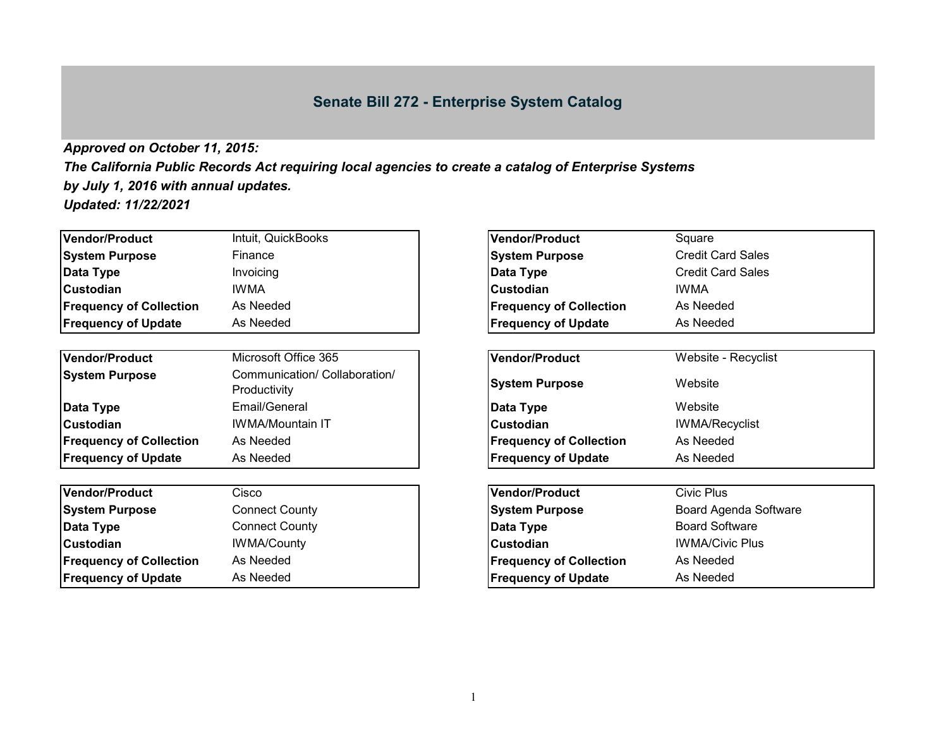## **Senate Bill 272 - Enterprise System Catalog**

## *Approved on October 11, 2015:*

*The California Public Records Act requiring local agencies to create a catalog of Enterprise Systems by July 1, 2016 with annual updates. Updated: 11/22/2021*

| Intuit, QuickBooks                            | Vendor/Product                 | Square                                |  |
|-----------------------------------------------|--------------------------------|---------------------------------------|--|
| Finance                                       | <b>System Purpose</b>          | <b>Credit Card Sales</b>              |  |
| Invoicing                                     | Data Type                      | <b>Credit Card Sales</b>              |  |
| <b>IWMA</b>                                   | <b>Custodian</b>               | <b>IWMA</b><br>As Needed<br>As Needed |  |
| As Needed                                     | <b>Frequency of Collection</b> |                                       |  |
| As Needed                                     | <b>Frequency of Update</b>     |                                       |  |
| Microsoft Office 365                          | <b>Vendor/Product</b>          | Website - Recyclist                   |  |
| Communication/ Collaboration/<br>Productivity | <b>System Purpose</b>          | Website                               |  |
| Email/General                                 | Data Type                      | Website                               |  |
| <b>IWMA/Mountain IT</b>                       | <b>Custodian</b>               | <b>IWMA/Recyclist</b>                 |  |
| As Needed                                     | <b>Frequency of Collection</b> | As Needed                             |  |
| As Needed                                     | <b>Frequency of Update</b>     | As Needed                             |  |
|                                               |                                |                                       |  |

| Vendor/Product                 | Cisco                 | Vendor/Product                 | Civic Plus                   |
|--------------------------------|-----------------------|--------------------------------|------------------------------|
| <b>System Purpose</b>          | <b>Connect County</b> | <b>System Purpose</b>          | <b>Board Agenda Software</b> |
| Data Type                      | <b>Connect County</b> | Data Type                      | <b>Board Software</b>        |
| <b>Custodian</b>               | <b>IWMA/County</b>    | <b>Custodian</b>               | <b>IWMA/Civic Plus</b>       |
| <b>Frequency of Collection</b> | As Needed             | <b>Frequency of Collection</b> | As Needed                    |
| <b>Frequency of Update</b>     | As Needed             | <b>Frequency of Update</b>     | As Needed                    |

| Intuit, QuickBooks                            | <b>Vendor/Product</b>          | Square                   |
|-----------------------------------------------|--------------------------------|--------------------------|
| Finance                                       | <b>System Purpose</b>          | <b>Credit Card Sales</b> |
| Invoicing                                     | Data Type                      | <b>Credit Card Sales</b> |
| <b>IWMA</b>                                   | Custodian                      | <b>IWMA</b>              |
| As Needed                                     | <b>Frequency of Collection</b> | As Needed                |
| As Needed                                     | <b>Frequency of Update</b>     | As Needed                |
|                                               |                                |                          |
| Microsoft Office 365                          | <b>Vendor/Product</b>          | Website - Recyclist      |
| Communication/ Collaboration/<br>Productivity | <b>System Purpose</b>          | Website                  |
| Email/General                                 | Data Type                      | Website                  |
| IWMA/Mountain IT                              | <b>Custodian</b>               | <b>IWMA/Recyclist</b>    |
| As Needed                                     | <b>Frequency of Collection</b> | As Needed                |
| As Needed                                     | <b>Frequency of Update</b>     | As Needed                |
|                                               |                                |                          |
| Cisco                                         | <b>Vendor/Product</b>          | <b>Civic Plus</b>        |
| <b>Connect County</b>                         | <b>System Purpose</b>          | Board Agenda Software    |
| <b>Connect County</b>                         | Data Type                      | <b>Board Software</b>    |
| <b>IWMA/County</b>                            | Custodian                      | <b>IWMA/Civic Plus</b>   |
| As Needed                                     | <b>Frequency of Collection</b> | As Needed                |
| As Needed                                     | <b>Frequency of Update</b>     | As Needed                |
|                                               |                                |                          |